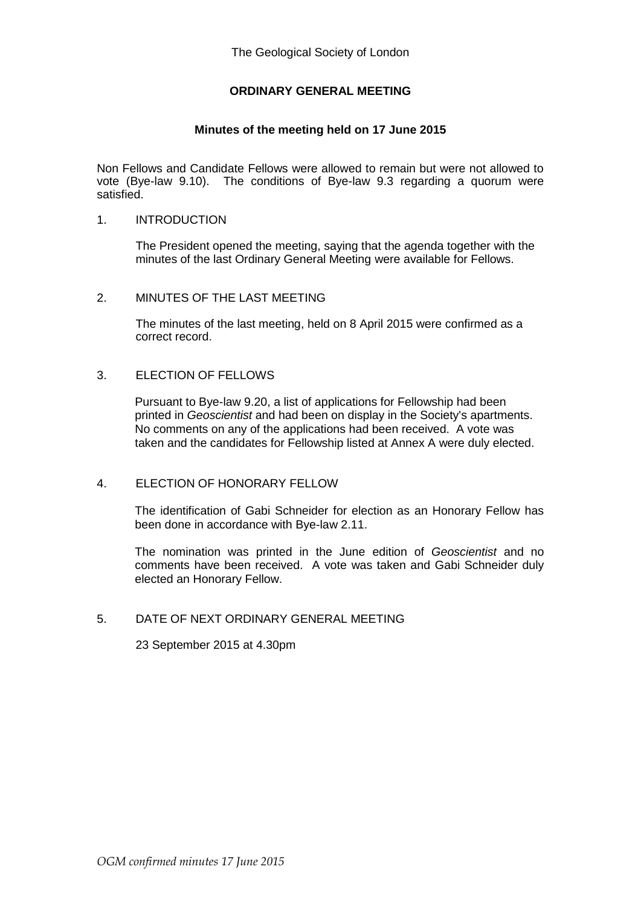## **ORDINARY GENERAL MEETING**

## **Minutes of the meeting held on 17 June 2015**

Non Fellows and Candidate Fellows were allowed to remain but were not allowed to vote (Bye-law 9.10). The conditions of Bye-law 9.3 regarding a quorum were satisfied.

#### 1. INTRODUCTION

The President opened the meeting, saying that the agenda together with the minutes of the last Ordinary General Meeting were available for Fellows.

#### 2. MINUTES OF THE LAST MEETING

The minutes of the last meeting, held on 8 April 2015 were confirmed as a correct record.

### 3. ELECTION OF FELLOWS

Pursuant to Bye-law 9.20, a list of applications for Fellowship had been printed in *Geoscientist* and had been on display in the Society's apartments. No comments on any of the applications had been received. A vote was taken and the candidates for Fellowship listed at Annex A were duly elected.

#### 4. ELECTION OF HONORARY FELLOW

The identification of Gabi Schneider for election as an Honorary Fellow has been done in accordance with Bye-law 2.11.

The nomination was printed in the June edition of *Geoscientist* and no comments have been received. A vote was taken and Gabi Schneider duly elected an Honorary Fellow.

## 5. DATE OF NEXT ORDINARY GENERAL MEETING

23 September 2015 at 4.30pm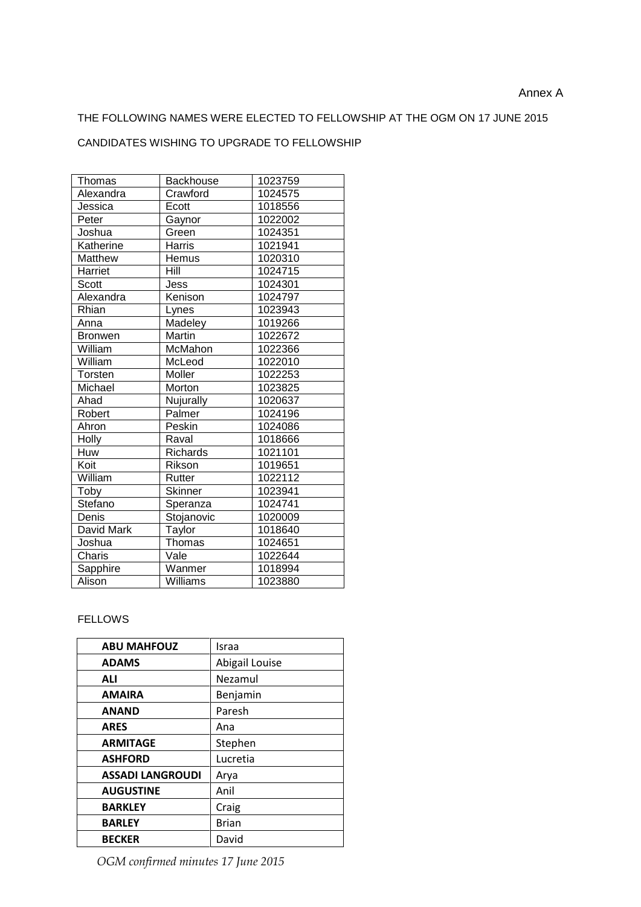# THE FOLLOWING NAMES WERE ELECTED TO FELLOWSHIP AT THE OGM ON 17 JUNE 2015

## CANDIDATES WISHING TO UPGRADE TO FELLOWSHIP

| Thomas         | <b>Backhouse</b> | 1023759 |
|----------------|------------------|---------|
| Alexandra      | Crawford         | 1024575 |
| Jessica        | Ecott            | 1018556 |
| Peter          | Gaynor           | 1022002 |
| Joshua         | Green            | 1024351 |
| Katherine      | Harris           | 1021941 |
| Matthew        | Hemus            | 1020310 |
| Harriet        | Hill             | 1024715 |
| <b>Scott</b>   | Jess             | 1024301 |
| Alexandra      | Kenison          | 1024797 |
| Rhian          | Lynes            | 1023943 |
| Anna           | Madeley          | 1019266 |
| <b>Bronwen</b> | Martin           | 1022672 |
| William        | McMahon          | 1022366 |
| William        | McLeod           | 1022010 |
| Torsten        | Moller           | 1022253 |
| Michael        | Morton           | 1023825 |
| Ahad           | Nujurally        | 1020637 |
| Robert         | Palmer           | 1024196 |
| Ahron          | Peskin           | 1024086 |
| Holly          | Raval            | 1018666 |
| Huw            | <b>Richards</b>  | 1021101 |
| Koit           | Rikson           | 1019651 |
| William        | Rutter           | 1022112 |
| Toby           | <b>Skinner</b>   | 1023941 |
| Stefano        | Speranza         | 1024741 |
| Denis          | Stojanovic       | 1020009 |
| David Mark     | Taylor           | 1018640 |
| Joshua         | Thomas           | 1024651 |
| Charis         | Vale             | 1022644 |
| Sapphire       | Wanmer           | 1018994 |
| Alison         | Williams         | 1023880 |

#### FELLOWS

| <b>ABU MAHFOUZ</b>      | Israa          |
|-------------------------|----------------|
| <b>ADAMS</b>            | Abigail Louise |
| <b>ALI</b>              | Nezamul        |
| <b>AMAIRA</b>           | Benjamin       |
| <b>ANAND</b>            | Paresh         |
| <b>ARES</b>             | Ana            |
| <b>ARMITAGE</b>         | Stephen        |
| <b>ASHFORD</b>          | Lucretia       |
| <b>ASSADI LANGROUDI</b> | Arya           |
| <b>AUGUSTINE</b>        | Anil           |
| <b>BARKLEY</b>          | Craig          |
| <b>BARLEY</b>           | <b>Brian</b>   |
| <b>BECKER</b>           | David          |

*OGM confirmed minutes 17 June 2015*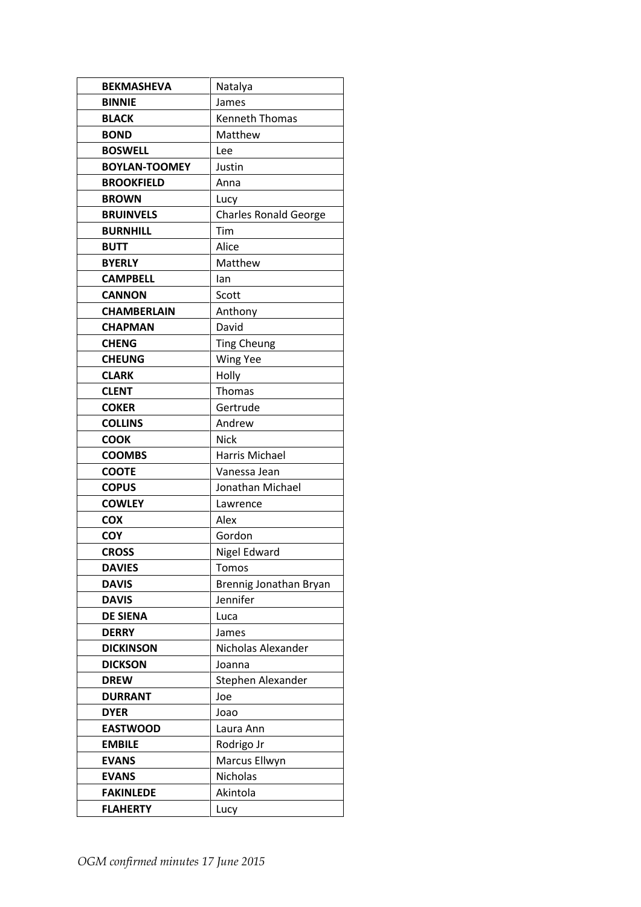| <b>BEKMASHEVA</b>    | Natalya                      |
|----------------------|------------------------------|
| <b>BINNIE</b>        | James                        |
| <b>BLACK</b>         | <b>Kenneth Thomas</b>        |
| <b>BOND</b>          | Matthew                      |
| <b>BOSWELL</b>       | Lee                          |
| <b>BOYLAN-TOOMEY</b> | Justin                       |
| <b>BROOKFIELD</b>    | Anna                         |
| <b>BROWN</b>         | Lucy                         |
| <b>BRUINVELS</b>     | <b>Charles Ronald George</b> |
| <b>BURNHILL</b>      | Tim                          |
| <b>BUTT</b>          | Alice                        |
| <b>BYERLY</b>        | Matthew                      |
| <b>CAMPBELL</b>      | lan                          |
| <b>CANNON</b>        | Scott                        |
| <b>CHAMBERLAIN</b>   | Anthony                      |
| <b>CHAPMAN</b>       | David                        |
| <b>CHENG</b>         | <b>Ting Cheung</b>           |
| <b>CHEUNG</b>        | Wing Yee                     |
| <b>CLARK</b>         | Holly                        |
| <b>CLENT</b>         | Thomas                       |
| <b>COKER</b>         | Gertrude                     |
| <b>COLLINS</b>       | Andrew                       |
| <b>COOK</b>          | <b>Nick</b>                  |
| <b>COOMBS</b>        | Harris Michael               |
| <b>COOTE</b>         | Vanessa Jean                 |
| <b>COPUS</b>         | Jonathan Michael             |
| <b>COWLEY</b>        | Lawrence                     |
| <b>COX</b>           | Alex                         |
| <b>COY</b>           | Gordon                       |
| <b>CROSS</b>         | Nigel Edward                 |
| <b>DAVIES</b>        | Tomos                        |
| <b>DAVIS</b>         | Brennig Jonathan Bryan       |
| <b>DAVIS</b>         | Jennifer                     |
| <b>DE SIENA</b>      | Luca                         |
| <b>DERRY</b>         | James                        |
| <b>DICKINSON</b>     | Nicholas Alexander           |
| <b>DICKSON</b>       | Joanna                       |
| <b>DREW</b>          | Stephen Alexander            |
| <b>DURRANT</b>       | Joe                          |
| <b>DYER</b>          | Joao                         |
| <b>EASTWOOD</b>      | Laura Ann                    |
| <b>EMBILE</b>        | Rodrigo Jr                   |
| <b>EVANS</b>         | Marcus Ellwyn                |
| <b>EVANS</b>         | Nicholas                     |
| <b>FAKINLEDE</b>     | Akintola                     |
| <b>FLAHERTY</b>      | Lucy                         |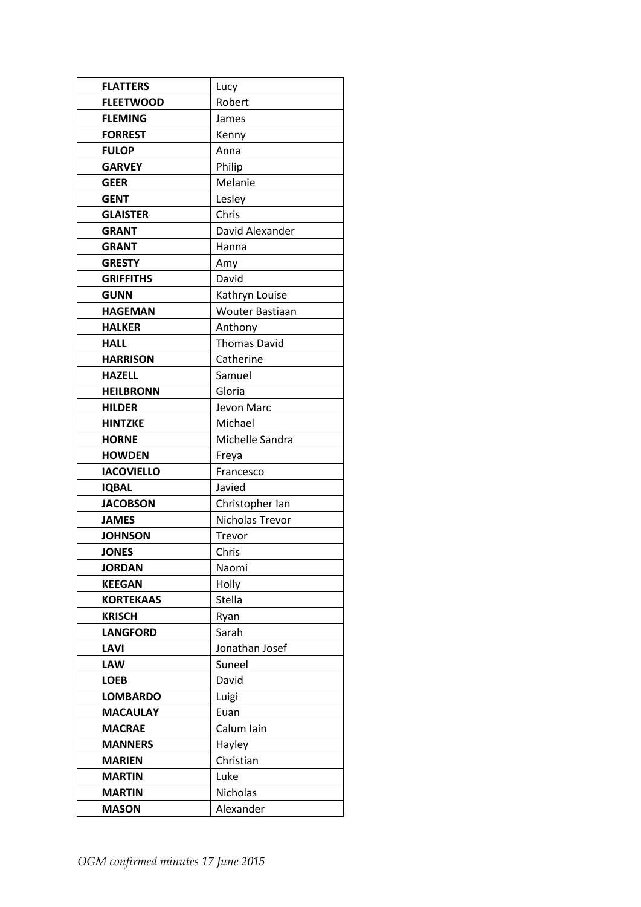| <b>FLATTERS</b>   | Lucy                   |
|-------------------|------------------------|
| <b>FLEETWOOD</b>  | Robert                 |
| <b>FLEMING</b>    | James                  |
| <b>FORREST</b>    | Kenny                  |
| <b>FULOP</b>      | Anna                   |
| <b>GARVEY</b>     | Philip                 |
| <b>GEER</b>       | Melanie                |
| <b>GENT</b>       | Lesley                 |
| <b>GLAISTER</b>   | Chris                  |
| <b>GRANT</b>      | David Alexander        |
| <b>GRANT</b>      | Hanna                  |
| <b>GRESTY</b>     | Amy                    |
| <b>GRIFFITHS</b>  | David                  |
| <b>GUNN</b>       | Kathryn Louise         |
| <b>HAGEMAN</b>    | <b>Wouter Bastiaan</b> |
| <b>HALKER</b>     | Anthony                |
| <b>HALL</b>       | <b>Thomas David</b>    |
| <b>HARRISON</b>   | Catherine              |
| <b>HAZELL</b>     | Samuel                 |
| <b>HEILBRONN</b>  | Gloria                 |
| <b>HILDER</b>     | Jevon Marc             |
| <b>HINTZKE</b>    | Michael                |
| <b>HORNE</b>      | Michelle Sandra        |
| <b>HOWDEN</b>     | Freya                  |
| <b>IACOVIELLO</b> | Francesco              |
| <b>IQBAL</b>      | Javied                 |
| <b>JACOBSON</b>   | Christopher Ian        |
| <b>JAMES</b>      | Nicholas Trevor        |
| <b>JOHNSON</b>    | Trevor                 |
| <b>JONES</b>      | Chris                  |
| <b>JORDAN</b>     | Naomi                  |
| <b>KEEGAN</b>     | Holly                  |
| <b>KORTEKAAS</b>  | Stella                 |
| <b>KRISCH</b>     | Ryan                   |
| <b>LANGFORD</b>   | Sarah                  |
| LAVI              | Jonathan Josef         |
| <b>LAW</b>        | Suneel                 |
| <b>LOEB</b>       | David                  |
| <b>LOMBARDO</b>   | Luigi                  |
| <b>MACAULAY</b>   | Euan                   |
| <b>MACRAE</b>     | Calum Iain             |
| <b>MANNERS</b>    | Hayley                 |
| <b>MARIEN</b>     | Christian              |
| <b>MARTIN</b>     | Luke                   |
| <b>MARTIN</b>     | Nicholas               |
| <b>MASON</b>      | Alexander              |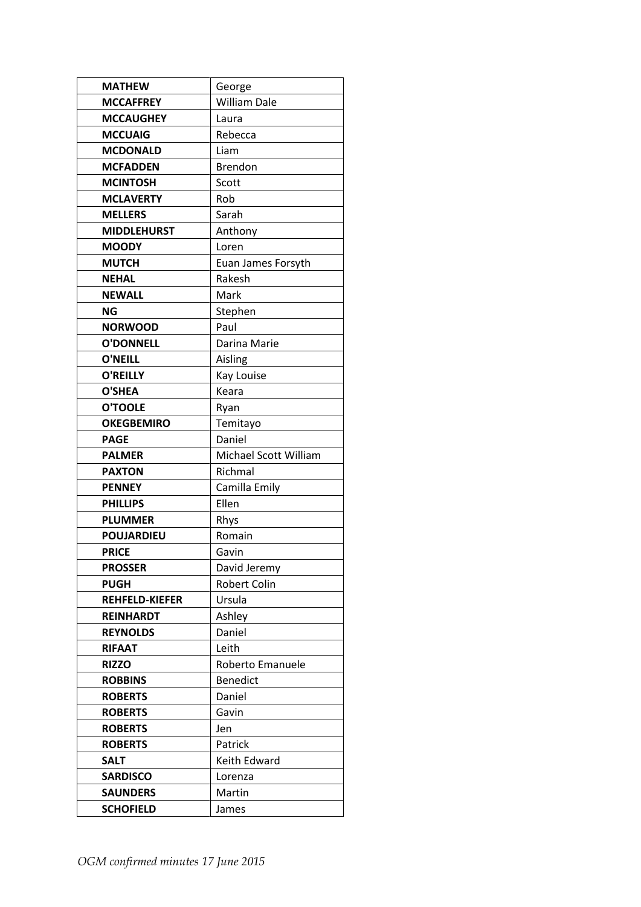| <b>MATHEW</b>         | George                |
|-----------------------|-----------------------|
| <b>MCCAFFREY</b>      | <b>William Dale</b>   |
| <b>MCCAUGHEY</b>      | Laura                 |
| <b>MCCUAIG</b>        | Rebecca               |
| <b>MCDONALD</b>       | Liam                  |
| <b>MCFADDEN</b>       | <b>Brendon</b>        |
| <b>MCINTOSH</b>       | Scott                 |
| <b>MCLAVERTY</b>      | Rob                   |
| <b>MELLERS</b>        | Sarah                 |
| <b>MIDDLEHURST</b>    | Anthony               |
| <b>MOODY</b>          | Loren                 |
| <b>MUTCH</b>          | Euan James Forsyth    |
| <b>NEHAL</b>          | Rakesh                |
| <b>NEWALL</b>         | Mark                  |
| <b>NG</b>             | Stephen               |
| <b>NORWOOD</b>        | Paul                  |
| <b>O'DONNELL</b>      | Darina Marie          |
| <b>O'NEILL</b>        | Aisling               |
| <b>O'REILLY</b>       | Kay Louise            |
| <b>O'SHEA</b>         | Keara                 |
| <b>O'TOOLE</b>        | Ryan                  |
| <b>OKEGBEMIRO</b>     | Temitayo              |
| <b>PAGE</b>           | Daniel                |
| <b>PALMER</b>         | Michael Scott William |
| <b>PAXTON</b>         | Richmal               |
| <b>PENNEY</b>         | Camilla Emily         |
| <b>PHILLIPS</b>       | Ellen                 |
| <b>PLUMMER</b>        | Rhys                  |
| <b>POUJARDIEU</b>     | Romain                |
| <b>PRICE</b>          | Gavin                 |
| <b>PROSSER</b>        | David Jeremy          |
| <b>PUGH</b>           | Robert Colin          |
| <b>REHFELD-KIEFER</b> | Ursula                |
| <b>REINHARDT</b>      | Ashley                |
| <b>REYNOLDS</b>       | Daniel                |
| <b>RIFAAT</b>         | Leith                 |
| <b>RIZZO</b>          |                       |
|                       | Roberto Emanuele      |
| <b>ROBBINS</b>        | <b>Benedict</b>       |
| <b>ROBERTS</b>        | Daniel                |
| <b>ROBERTS</b>        | Gavin                 |
| <b>ROBERTS</b>        | Jen                   |
| <b>ROBERTS</b>        | Patrick               |
| <b>SALT</b>           | Keith Edward          |
| <b>SARDISCO</b>       | Lorenza               |
| <b>SAUNDERS</b>       | Martin                |